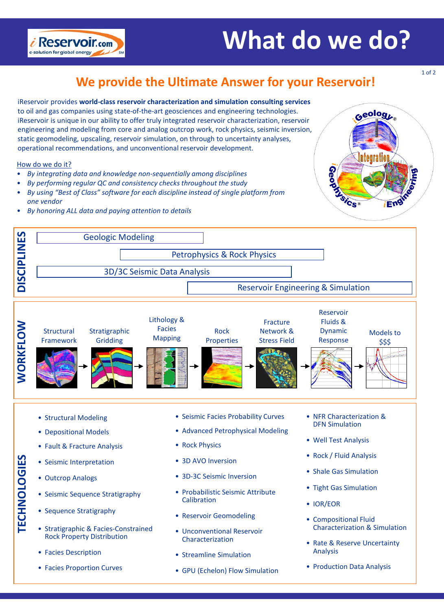# **What do we do?**



### **We provide the Ultimate Answer for your Reservoir!**

iReservoir provides **world-class reservoir characterization and simulation consulting services**  to oil and gas companies using state-of-the-art geosciences and engineering technologies. iReservoir is unique in our ability to offer truly integrated reservoir characterization, reservoir engineering and modeling from core and analog outcrop work, rock physics, seismic inversion, static geomodeling, upscaling, reservoir simulation, on through to uncertainty analyses, operational recommendations, and unconventional reservoir development.

#### How do we do it?

- *By integrating data and knowledge non-sequentially among disciplines*
- *By performing regular QC and consistency checks throughout the study*
- *By using "Best of Class" software for each discipline instead of single platform from one vendor*
- *By honoring ALL data and paying attention to details*





- Structural Modeling
- Depositional Models
- Fault & Fracture Analysis
- Seismic Interpretation
- Outcrop Analogs

**TECHNOLOGIES**

**FECHNOLOGIES** 

- Seismic Sequence Stratigraphy
- Sequence Stratigraphy
- Stratigraphic & Facies-Constrained Rock Property Distribution
- Facies Description
- Facies Proportion Curves
- Seismic Facies Probability Curves
- Advanced Petrophysical Modeling
- Rock Physics
- 3D AVO Inversion
- 3D-3C Seismic Inversion
- Probabilistic Seismic Attribute Calibration
- Reservoir Geomodeling
- Unconventional Reservoir Characterization
- Streamline Simulation
- GPU (Echelon) Flow Simulation
- NFR Characterization & DFN Simulation
- Well Test Analysis
- Rock / Fluid Analysis
- Shale Gas Simulation
- Tight Gas Simulation
- IOR/EOR
- Compositional Fluid Characterization & Simulation
- Rate & Reserve Uncertainty Analysis
- Production Data Analysis

1 of 2